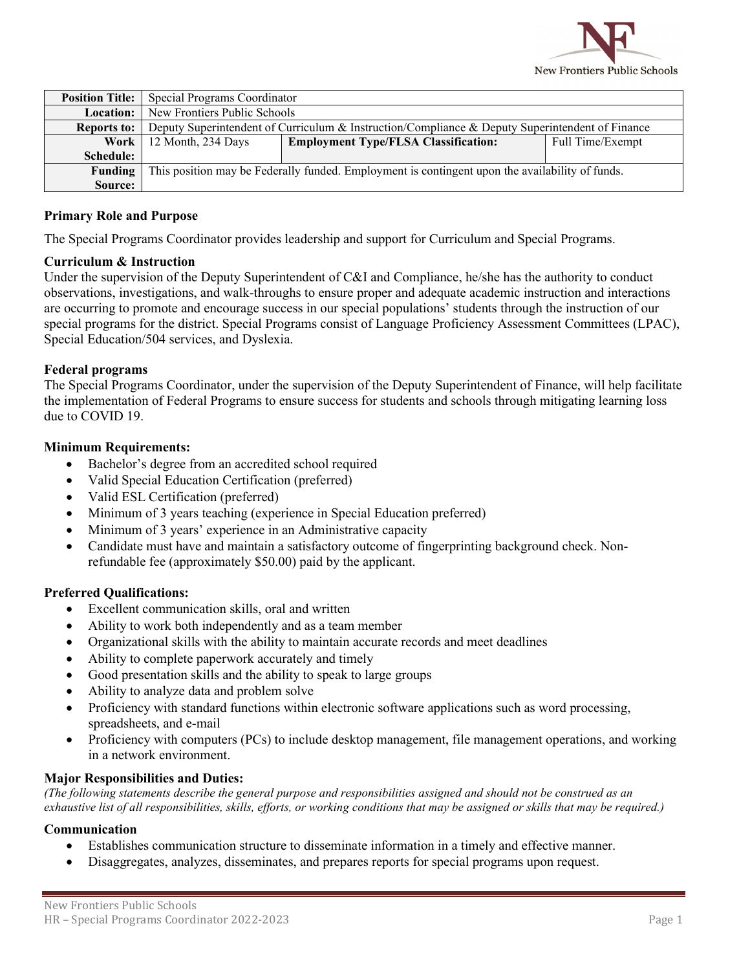

| <b>Position Title:</b> | Special Programs Coordinator                                                                    |                                             |                  |
|------------------------|-------------------------------------------------------------------------------------------------|---------------------------------------------|------------------|
| Location:              | New Frontiers Public Schools                                                                    |                                             |                  |
| <b>Reports to:</b>     | Deputy Superintendent of Curriculum & Instruction/Compliance & Deputy Superintendent of Finance |                                             |                  |
|                        | <b>Work</b>   12 Month, 234 Days                                                                | <b>Employment Type/FLSA Classification:</b> | Full Time/Exempt |
| Schedule:              |                                                                                                 |                                             |                  |
| Funding                | This position may be Federally funded. Employment is contingent upon the availability of funds. |                                             |                  |
| Source:                |                                                                                                 |                                             |                  |

#### **Primary Role and Purpose**

The Special Programs Coordinator provides leadership and support for Curriculum and Special Programs.

#### **Curriculum & Instruction**

Under the supervision of the Deputy Superintendent of C&I and Compliance, he/she has the authority to conduct observations, investigations, and walk-throughs to ensure proper and adequate academic instruction and interactions are occurring to promote and encourage success in our special populations' students through the instruction of our special programs for the district. Special Programs consist of Language Proficiency Assessment Committees (LPAC), Special Education/504 services, and Dyslexia.

#### **Federal programs**

The Special Programs Coordinator, under the supervision of the Deputy Superintendent of Finance, will help facilitate the implementation of Federal Programs to ensure success for students and schools through mitigating learning loss due to COVID 19.

#### **Minimum Requirements:**

- Bachelor's degree from an accredited school required
- Valid Special Education Certification (preferred)
- Valid ESL Certification (preferred)
- Minimum of 3 years teaching (experience in Special Education preferred)
- Minimum of 3 years' experience in an Administrative capacity
- Candidate must have and maintain a satisfactory outcome of fingerprinting background check. Nonrefundable fee (approximately \$50.00) paid by the applicant.

## **Preferred Qualifications:**

- Excellent communication skills, oral and written
- Ability to work both independently and as a team member
- Organizational skills with the ability to maintain accurate records and meet deadlines
- Ability to complete paperwork accurately and timely
- Good presentation skills and the ability to speak to large groups
- Ability to analyze data and problem solve
- Proficiency with standard functions within electronic software applications such as word processing, spreadsheets, and e-mail
- Proficiency with computers (PCs) to include desktop management, file management operations, and working in a network environment.

## **Major Responsibilities and Duties:**

*(The following statements describe the general purpose and responsibilities assigned and should not be construed as an exhaustive list of all responsibilities, skills, efforts, or working conditions that may be assigned or skills that may be required.)*

## **Communication**

- Establishes communication structure to disseminate information in a timely and effective manner.
- Disaggregates, analyzes, disseminates, and prepares reports for special programs upon request.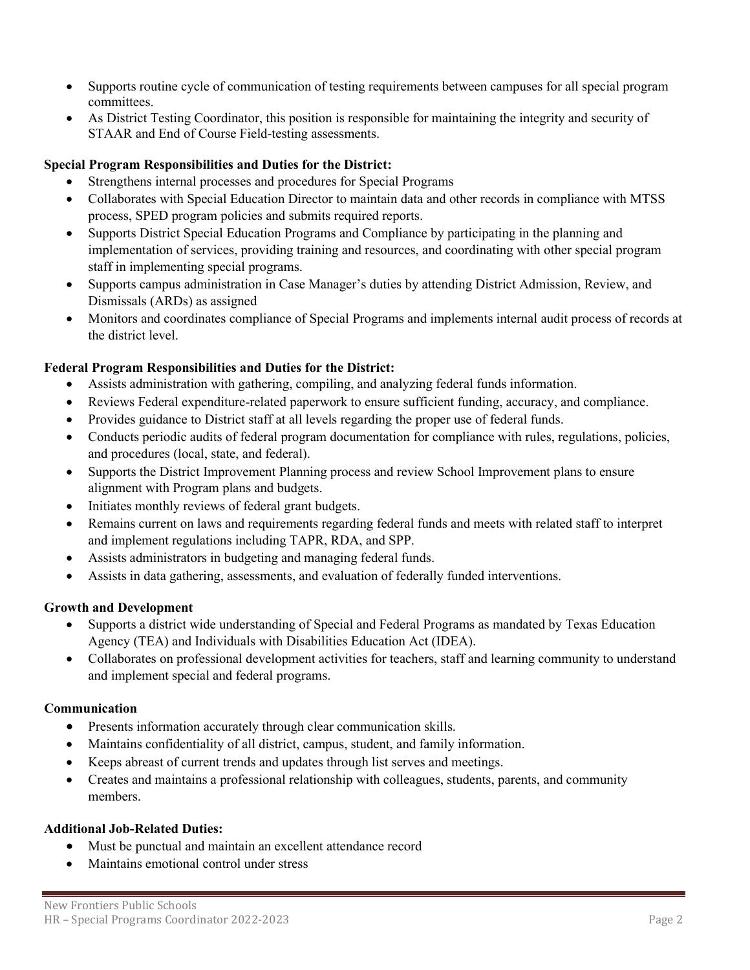- Supports routine cycle of communication of testing requirements between campuses for all special program committees.
- As District Testing Coordinator, this position is responsible for maintaining the integrity and security of STAAR and End of Course Field-testing assessments.

# **Special Program Responsibilities and Duties for the District:**

- Strengthens internal processes and procedures for Special Programs
- Collaborates with Special Education Director to maintain data and other records in compliance with MTSS process, SPED program policies and submits required reports.
- Supports District Special Education Programs and Compliance by participating in the planning and implementation of services, providing training and resources, and coordinating with other special program staff in implementing special programs.
- Supports campus administration in Case Manager's duties by attending District Admission, Review, and Dismissals (ARDs) as assigned
- Monitors and coordinates compliance of Special Programs and implements internal audit process of records at the district level.

# **Federal Program Responsibilities and Duties for the District:**

- Assists administration with gathering, compiling, and analyzing federal funds information.
- Reviews Federal expenditure-related paperwork to ensure sufficient funding, accuracy, and compliance.
- Provides guidance to District staff at all levels regarding the proper use of federal funds.
- Conducts periodic audits of federal program documentation for compliance with rules, regulations, policies, and procedures (local, state, and federal).
- Supports the District Improvement Planning process and review School Improvement plans to ensure alignment with Program plans and budgets.
- Initiates monthly reviews of federal grant budgets.
- Remains current on laws and requirements regarding federal funds and meets with related staff to interpret and implement regulations including TAPR, RDA, and SPP.
- Assists administrators in budgeting and managing federal funds.
- Assists in data gathering, assessments, and evaluation of federally funded interventions.

## **Growth and Development**

- Supports a district wide understanding of Special and Federal Programs as mandated by Texas Education Agency (TEA) and Individuals with Disabilities Education Act (IDEA).
- Collaborates on professional development activities for teachers, staff and learning community to understand and implement special and federal programs.

## **Communication**

- Presents information accurately through clear communication skills.
- Maintains confidentiality of all district, campus, student, and family information.
- Keeps abreast of current trends and updates through list serves and meetings.
- Creates and maintains a professional relationship with colleagues, students, parents, and community members.

#### **Additional Job-Related Duties:**

- Must be punctual and maintain an excellent attendance record
- Maintains emotional control under stress